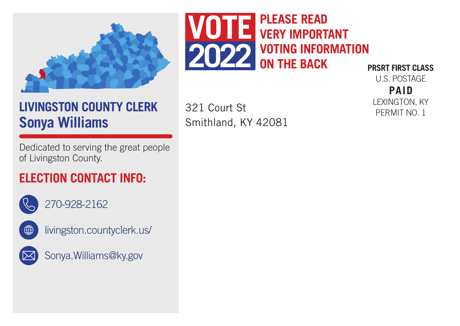

## **LIVINGSTON COUNTY CLERK Sonya Williams**

Dedicated to serving the great people of Livingston County.

## **ELECTION CONTACT INFO:**



270-928-2162



livingston.countyclerk.us/



Sonya.Williams@ky.gov



**PRSRT FIRST CLASS** U.S. POSTAGE

321 Court St Smithland, KY 42081

**PAID** LEXINGTON, KY PERMIT NO. 1